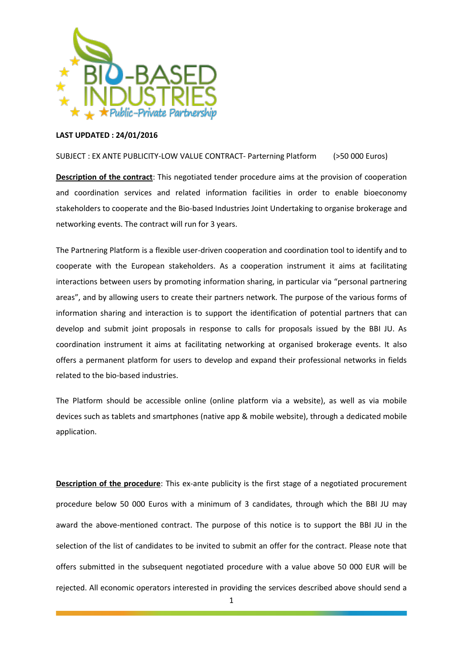

## **LAST UPDATED : 24/01/2016**

## SUBJECT : EX ANTE PUBLICITY-LOW VALUE CONTRACT- Parterning Platform (>50 000 Euros)

**Description of the contract**: This negotiated tender procedure aims at the provision of cooperation and coordination services and related information facilities in order to enable bioeconomy stakeholders to cooperate and the Bio-based Industries Joint Undertaking to organise brokerage and networking events. The contract will run for 3 years.

The Partnering Platform is a flexible user-driven cooperation and coordination tool to identify and to cooperate with the European stakeholders. As a cooperation instrument it aims at facilitating interactions between users by promoting information sharing, in particular via "personal partnering areas", and by allowing users to create their partners network. The purpose of the various forms of information sharing and interaction is to support the identification of potential partners that can develop and submit joint proposals in response to calls for proposals issued by the BBI JU. As coordination instrument it aims at facilitating networking at organised brokerage events. It also offers a permanent platform for users to develop and expand their professional networks in fields related to the bio-based industries.

The Platform should be accessible online (online platform via a website), as well as via mobile devices such as tablets and smartphones (native app & mobile website), through a dedicated mobile application.

**Description of the procedure**: This ex-ante publicity is the first stage of a negotiated procurement procedure below 50 000 Euros with a minimum of 3 candidates, through which the BBI JU may award the above-mentioned contract. The purpose of this notice is to support the BBI JU in the selection of the list of candidates to be invited to submit an offer for the contract. Please note that offers submitted in the subsequent negotiated procedure with a value above 50 000 EUR will be rejected. All economic operators interested in providing the services described above should send a